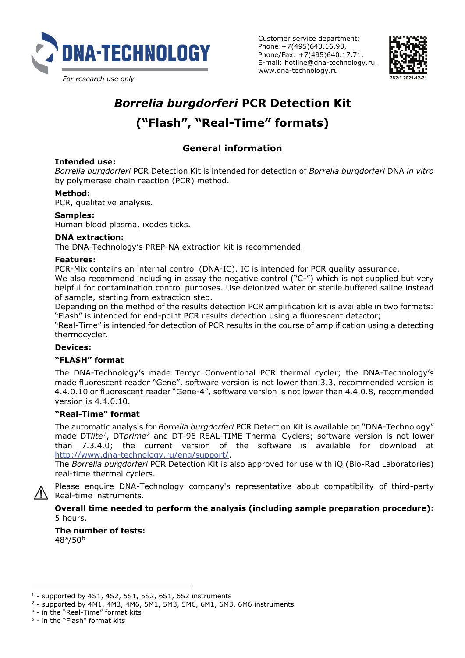

Customer service department: Phone:+7(495)640.16.93, Phone/Fax: +7(495)640.17.71. E-mail: hotline@dna-technology.ru, www.dna-technology.ru



# *Borrelia burgdorferi* **PCR Detection Kit ("Flash", "Real-Time" formats)**

# **General information**

#### **Intended use:**

*Borrelia burgdorferi* PCR Detection Kit is intended for detection of *Borrelia burgdorferi* DNA *in vitro* by polymerase chain reaction (PCR) method.

### **Method:**

PCR, qualitative analysis.

# **Samples:**

Human blood plasma, ixodes ticks.

#### **DNA extraction:**

The DNA-Technology's PREP-NA extraction kit is recommended.

#### **Features:**

PCR-Mix contains an internal control (DNA-IC). IC is intended for PCR quality assurance.

We also recommend including in assay the negative control ("C-") which is not supplied but very helpful for contamination control purposes. Use deionized water or sterile buffered saline instead of sample, starting from extraction step.

Depending on the method of the results detection PCR amplification kit is available in two formats: "Flash" is intended for end-point PCR results detection using a fluorescent detector;

"Real-Time" is intended for detection of PCR results in the course of amplification using a detecting thermocycler.

#### **Devices:**

#### **"FLASH" format**

The DNA-Technology's made Tercyc Conventional PCR thermal cycler; the DNA-Technology's made fluorescent reader "Gene", software version is not lower than 3.3, recommended version is 4.4.0.10 or fluorescent reader "Gene-4", software version is not lower than 4.4.0.8, recommended version is 4.4.0.10.

# **"Real-Time" format**

The automatic analysis for *Borrelia burgdorferi* PCR Detection Kit is available on "DNA-Technology" made DT*lite[1](#page-0-0)*, DT*prime[2](#page-0-1)* and DT-96 REAL-TIME Thermal Cyclers; software version is not lower than 7.3.4.0; the current version of the software is available for download at [http://www.dna-technology.ru/eng/support/.](http://www.dna-technology.ru/eng/support/)

The *Borrelia burgdorferi* PCR Detection Kit is also approved for use with iQ (Bio-Rad Laboratories) real-time thermal cyclers.

Please enquire DNA-Technology company's representative about compatibility of third-party Real-time instruments.

**Overall time needed to perform the analysis (including sample preparation procedure):** 5 hours.

**The number of tests:**  48[a/](#page-0-2)50[b](#page-0-3)

 $\overline{a}$ <sup>1</sup> - supported by 4S1, 4S2, 5S1, 5S2, 6S1, 6S2 instruments

<span id="page-0-1"></span><span id="page-0-0"></span><sup>2</sup> - supported by 4M1, 4M3, 4M6, 5M1, 5M3, 5M6, 6M1, 6M3, 6M6 instruments

<span id="page-0-2"></span><sup>a</sup> - in the "Real-Time" format kits

<span id="page-0-3"></span><sup>b</sup> - in the "Flash" format kits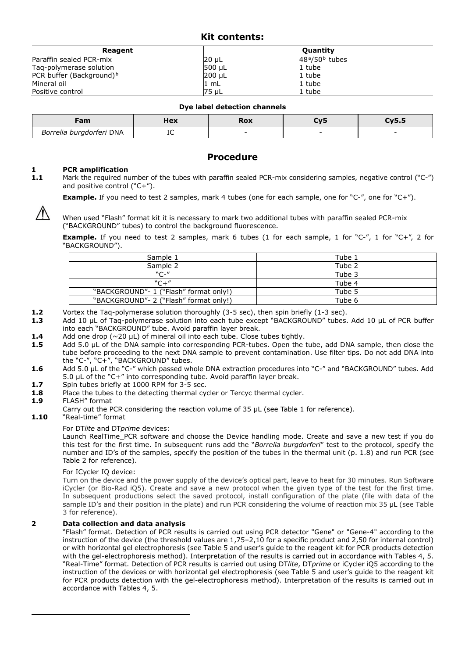# **Kit contents:**

| Reagent                              |        | <b>Ouantity</b>               |  |
|--------------------------------------|--------|-------------------------------|--|
| Paraffin sealed PCR-mix              | 20 µL  | $48^{\circ}/50^{\circ}$ tubes |  |
| Tag-polymerase solution              | 500 µL | 1 tube                        |  |
| PCR buffer (Background) <sup>b</sup> | 200 µL | 1 tube                        |  |
| Mineral oil                          | 1 mL   | 1 tube                        |  |
| Positive control                     | 75 uL  | 1 tube                        |  |

| ---<br><b>a</b>          | Hex | RUX | - |
|--------------------------|-----|-----|---|
| Borrelia burgdorferi DNA | ᅭ   |     |   |

# **Procedure**

# **1 PCR amplification**<br>**1.1** Mark the required nu

**1.1** Mark the required number of the tubes with paraffin sealed PCR-mix considering samples, negative control ("C-") and positive control ("C+").

**Example.** If you need to test 2 samples, mark 4 tubes (one for each sample, one for "C-", one for "C+").

When used "Flash" format kit it is necessary to mark two additional tubes with paraffin sealed PCR-mix ("BACKGROUND" tubes) to control the background fluorescence.

**Example.** If you need to test 2 samples, mark 6 tubes (1 for each sample, 1 for "C-", 1 for "C+", 2 for "BACKGROUND").

| Sample 1                               | Tube 1 |
|----------------------------------------|--------|
| Sample 2                               | Tube 2 |
| $"C-"$                                 | Tube 3 |
| $C + T$                                | Tube 4 |
| "BACKGROUND"- 1 ("Flash" format only!) | Tube 5 |
| "BACKGROUND"- 2 ("Flash" format only!) | Tube 6 |

**1.2** Vortex the Taq-polymerase solution thoroughly (3-5 sec), then spin briefly (1-3 sec).<br>**1.3** Add 10 uL of Taq-polymerase solution into each tube except "BACKGROUND" tubes.

- **1.3** Add 10 μL of Taq-polymerase solution into each tube except "BACKGROUND" tubes. Add 10 μL of PCR buffer into each "BACKGROUND" tube. Avoid paraffin layer break.
- **1.4** Add one drop (~20 μL) of mineral oil into each tube. Close tubes tightly.<br>**1.5** Add 5.0 μL of the DNA sample into corresponding PCR-tubes. Open the
- **1.5** Add 5.0 μL of the DNA sample into corresponding PCR-tubes. Open the tube, add DNA sample, then close the tube before proceeding to the next DNA sample to prevent contamination. Use filter tips. Do not add DNA into the "C-", "C+", "BACKGROUND" tubes.
- **1.6** Add 5.0 μL of the "C-" which passed whole DNA extraction procedures into "C-" and "BACKGROUND" tubes. Add 5.0 μL of the "C+" into corresponding tube. Avoid paraffin layer break.
- **1.7** Spin tubes briefly at 1000 RPM for 3-5 sec.<br>**1.8** Place the tubes to the detecting thermal cycle
- Place the tubes to the detecting thermal cycler or Tercyc thermal cycler.

#### **1.9** FLASH" format

<span id="page-1-2"></span><span id="page-1-1"></span><span id="page-1-0"></span> $\overline{a}$ 

Carry out the PCR considering the reaction volume of 35  $\mu$ L (see Table 1 for reference).

**1.10** "Real-time" format

#### For DT*lite* and DT*prime* devices:

Launch RealTime<sup>'</sup> PCR software and choose the Device handling mode. Create and save a new test if you do this test for the first time. In subsequent runs add the "*Borrelia burgdorferi*" test to the protocol, specify the number and ID's of the samples, specify the position of the tubes in the thermal unit (p. 1.8) and run PCR (see Table 2 for reference).

#### For ICycler IQ device:

Turn on the device and the power supply of the device's optical part, leave to heat for 30 minutes. Run Software iCycler (or Bio-Rad iQ5). Create and save a new protocol when the given type of the test for the first time. In subsequent productions select the saved protocol, install configuration of the plate (file with data of the sample ID's and their position in the plate) and run PCR considering the volume of reaction mix 35 μL (see Table 3 for reference).

#### **2 Data collection and data analysis**

"Flash" format. Detection of PCR results is carried out using PCR detector "Gene" or "Gene-4" according to the instruction of the device (the threshold values are 1,75–2,10 for a specific product and 2,50 for internal control) or with horizontal gel electrophoresis (see Table 5 and user's guide to the reagent kit for PCR products detection with the gel-electrophoresis method). Interpretation of the results is carried out in accordance with Tables 4, 5. "Real-Time" format. Detection of PCR results is carried out using DT*lite*, DT*prime* or iCycler iQ5 according to the instruction of the devices or with horizontal gel electrophoresis (see Table 5 and user's guide to the reagent kit for PCR products detection with the gel-electrophoresis method). Interpretation of the results is carried out in accordance with Tables 4, 5.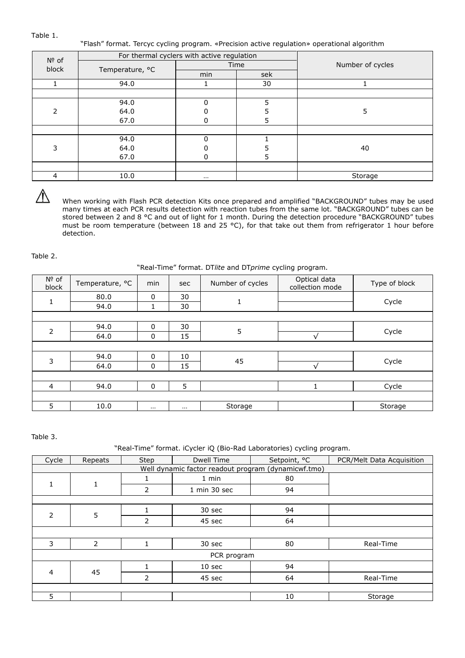Table 1.

"Flash" format. Tercyc cycling program. «Precision active regulation» operational algorithm

| $No$ of        |                 | For thermal cyclers with active regulation |      |                  |
|----------------|-----------------|--------------------------------------------|------|------------------|
| block          | Temperature, °C |                                            | Time | Number of cycles |
|                |                 | min                                        | sek  |                  |
|                | 94.0            |                                            | 30   |                  |
|                |                 |                                            |      |                  |
|                | 94.0            | $\Omega$                                   | 5    |                  |
| $\overline{2}$ | 64.0            |                                            |      | 5                |
|                | 67.0            | 0                                          | 5.   |                  |
|                |                 |                                            |      |                  |
|                | 94.0            | U                                          |      |                  |
| 3              | 64.0            |                                            |      | 40               |
|                | 67.0            | $\Omega$                                   | 5.   |                  |
|                |                 |                                            |      |                  |
| 4              | 10.0            | $\cdots$                                   |      | Storage          |

 $\mathcal{N}$ 

When working with Flash PCR detection Kits once prepared and amplified "BACKGROUND" tubes may be used many times at each PCR results detection with reaction tubes from the same lot. "BACKGROUND" tubes can be stored between 2 and 8 °C and out of light for 1 month. During the detection procedure "BACKGROUND" tubes must be room temperature (between 18 and 25 °С), for that take out them from refrigerator 1 hour before detection.

Table 2.

"Real-Time" format. DT*lite* and DT*prime* cycling program.

| Nº of<br>block | Temperature, °C | min         | sec      | Number of cycles | Optical data<br>collection mode | Type of block |  |
|----------------|-----------------|-------------|----------|------------------|---------------------------------|---------------|--|
| $\mathbf{1}$   | 80.0            | $\mathbf 0$ | 30       | 1                |                                 |               |  |
|                | 94.0            | 1           | 30       |                  |                                 | Cycle         |  |
|                |                 |             |          |                  |                                 |               |  |
| $\overline{2}$ | 94.0            | $\mathbf 0$ | 30       | 5                |                                 | Cycle         |  |
|                | 64.0            | $\mathbf 0$ | 15       |                  |                                 |               |  |
|                |                 |             |          |                  |                                 |               |  |
| 3              | 94.0            | $\mathbf 0$ | 10       | 45               |                                 | Cycle         |  |
|                | 64.0            | $\mathbf 0$ | 15       |                  |                                 |               |  |
|                |                 |             |          |                  |                                 |               |  |
| 4              | 94.0            | $\mathbf 0$ | 5        |                  |                                 | Cycle         |  |
|                |                 |             |          |                  |                                 |               |  |
| 5              | 10.0            | $\cdots$    | $\cdots$ | Storage          |                                 | Storage       |  |

Table 3.

#### "Real-Time" format. iCycler iQ (Bio-Rad Laboratories) cycling program.

| Cycle                                               | Repeats        | Step           | Dwell Time        | Setpoint, °C | PCR/Melt Data Acquisition |
|-----------------------------------------------------|----------------|----------------|-------------------|--------------|---------------------------|
| Well dynamic factor readout program (dynamicwf.tmo) |                |                |                   |              |                           |
| $\mathbf{1}$                                        |                |                | 1 min             | 80           |                           |
|                                                     | $\mathbf{1}$   | $\overline{2}$ | 1 min 30 sec      | 94           |                           |
|                                                     |                |                |                   |              |                           |
| $\overline{2}$                                      | 5              |                | 30 sec            | 94           |                           |
|                                                     |                | 2              | 45 sec            | 64           |                           |
|                                                     |                |                |                   |              |                           |
| 3                                                   | $\overline{2}$ |                | 30 sec            | 80           | Real-Time                 |
| PCR program                                         |                |                |                   |              |                           |
|                                                     | 45<br>4        |                | 10 <sub>sec</sub> | 94           |                           |
|                                                     |                | $\overline{2}$ | 45 sec            | 64           | Real-Time                 |
|                                                     |                |                |                   |              |                           |
| 5                                                   |                |                |                   | 10           | Storage                   |